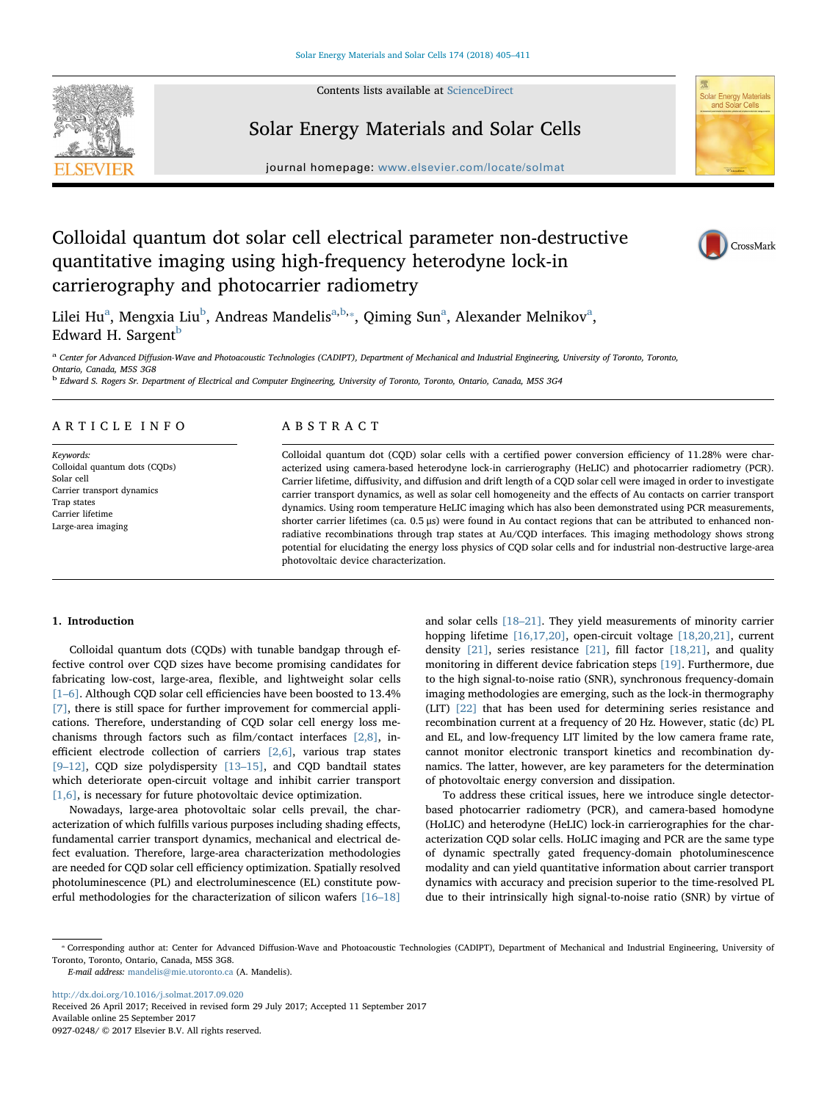Contents lists available at [ScienceDirect](http://www.sciencedirect.com/science/journal/09270248)

Solar Energy Materials and Solar Cells



# **Solar Energy Material**

# journal homepage: [www.elsevier.com/locate/solmat](https://www.elsevier.com/locate/solmat)

# Colloidal quantum dot solar cell electrical parameter non-destructive quantitative imaging using high-frequency heterodyne lock-in carrierography and photocarrier radiometry



Lilei Hu<sup>a</sup>, Mengxia Liu<sup>[b](#page-0-1)</sup>, Andreas Mandelis<sup>[a,](#page-0-0)b,</sup>\*, Qiming Sun<sup>[a](#page-0-0)</sup>, Alexander Melnikov<sup>a</sup>, Edward H. Sargent $<sup>b</sup>$  $<sup>b</sup>$  $<sup>b</sup>$ </sup>

<span id="page-0-0"></span><sup>a</sup> Center for Advanced Diffusion-Wave and Photoacoustic Technologies (CADIPT), Department of Mechanical and Industrial Engineering, University of Toronto, Toronto, Ontario, Canada, M5S 3G8

<span id="page-0-1"></span><sup>b</sup> Edward S. Rogers Sr. Department of Electrical and Computer Engineering, University of Toronto, Toronto, Ontario, Canada, M5S 3G4

# ARTICLE INFO

Keywords: Colloidal quantum dots (CQDs) Solar cell Carrier transport dynamics Trap states Carrier lifetime Large-area imaging

# ABSTRACT

Colloidal quantum dot (CQD) solar cells with a certified power conversion efficiency of 11.28% were characterized using camera-based heterodyne lock-in carrierography (HeLIC) and photocarrier radiometry (PCR). Carrier lifetime, diffusivity, and diffusion and drift length of a CQD solar cell were imaged in order to investigate carrier transport dynamics, as well as solar cell homogeneity and the effects of Au contacts on carrier transport dynamics. Using room temperature HeLIC imaging which has also been demonstrated using PCR measurements, shorter carrier lifetimes (ca. 0.5 μs) were found in Au contact regions that can be attributed to enhanced nonradiative recombinations through trap states at Au/CQD interfaces. This imaging methodology shows strong potential for elucidating the energy loss physics of CQD solar cells and for industrial non-destructive large-area photovoltaic device characterization.

## 1. Introduction

Colloidal quantum dots (CQDs) with tunable bandgap through effective control over CQD sizes have become promising candidates for fabricating low-cost, large-area, flexible, and lightweight solar cells [1–[6\]](#page-5-0). Although CQD solar cell efficiencies have been boosted to 13.4% [\[7\],](#page-6-0) there is still space for further improvement for commercial applications. Therefore, understanding of CQD solar cell energy loss mechanisms through factors such as film/contact interfaces [\[2,8\]](#page-5-1), inefficient electrode collection of carriers [\[2,6\],](#page-5-1) various trap states [9–[12\],](#page-6-1) CQD size polydispersity [13–[15\],](#page-6-2) and CQD bandtail states which deteriorate open-circuit voltage and inhibit carrier transport [\[1,6\],](#page-5-0) is necessary for future photovoltaic device optimization.

Nowadays, large-area photovoltaic solar cells prevail, the characterization of which fulfills various purposes including shading effects, fundamental carrier transport dynamics, mechanical and electrical defect evaluation. Therefore, large-area characterization methodologies are needed for CQD solar cell efficiency optimization. Spatially resolved photoluminescence (PL) and electroluminescence (EL) constitute powerful methodologies for the characterization of silicon wafers [16–[18\]](#page-6-3)

and solar cells [18–[21\]](#page-6-4). They yield measurements of minority carrier hopping lifetime [\[16,17,20\],](#page-6-3) open-circuit voltage [\[18,20,21\]](#page-6-4), current density  $[21]$ , series resistance  $[21]$ , fill factor  $[18,21]$ , and quality monitoring in different device fabrication steps [\[19\]](#page-6-6). Furthermore, due to the high signal-to-noise ratio (SNR), synchronous frequency-domain imaging methodologies are emerging, such as the lock-in thermography (LIT) [\[22\]](#page-6-7) that has been used for determining series resistance and recombination current at a frequency of 20 Hz. However, static (dc) PL and EL, and low-frequency LIT limited by the low camera frame rate, cannot monitor electronic transport kinetics and recombination dynamics. The latter, however, are key parameters for the determination of photovoltaic energy conversion and dissipation.

To address these critical issues, here we introduce single detectorbased photocarrier radiometry (PCR), and camera-based homodyne (HoLIC) and heterodyne (HeLIC) lock-in carrierographies for the characterization CQD solar cells. HoLIC imaging and PCR are the same type of dynamic spectrally gated frequency-domain photoluminescence modality and can yield quantitative information about carrier transport dynamics with accuracy and precision superior to the time-resolved PL due to their intrinsically high signal-to-noise ratio (SNR) by virtue of

E-mail address: [mandelis@mie.utoronto.ca](mailto:mandelis@mie.utoronto.ca) (A. Mandelis).

<http://dx.doi.org/10.1016/j.solmat.2017.09.020> Received 26 April 2017; Received in revised form 29 July 2017; Accepted 11 September 2017 Available online 25 September 2017 0927-0248/ © 2017 Elsevier B.V. All rights reserved.

<span id="page-0-2"></span><sup>⁎</sup> Corresponding author at: Center for Advanced Diffusion-Wave and Photoacoustic Technologies (CADIPT), Department of Mechanical and Industrial Engineering, University of Toronto, Toronto, Ontario, Canada, M5S 3G8.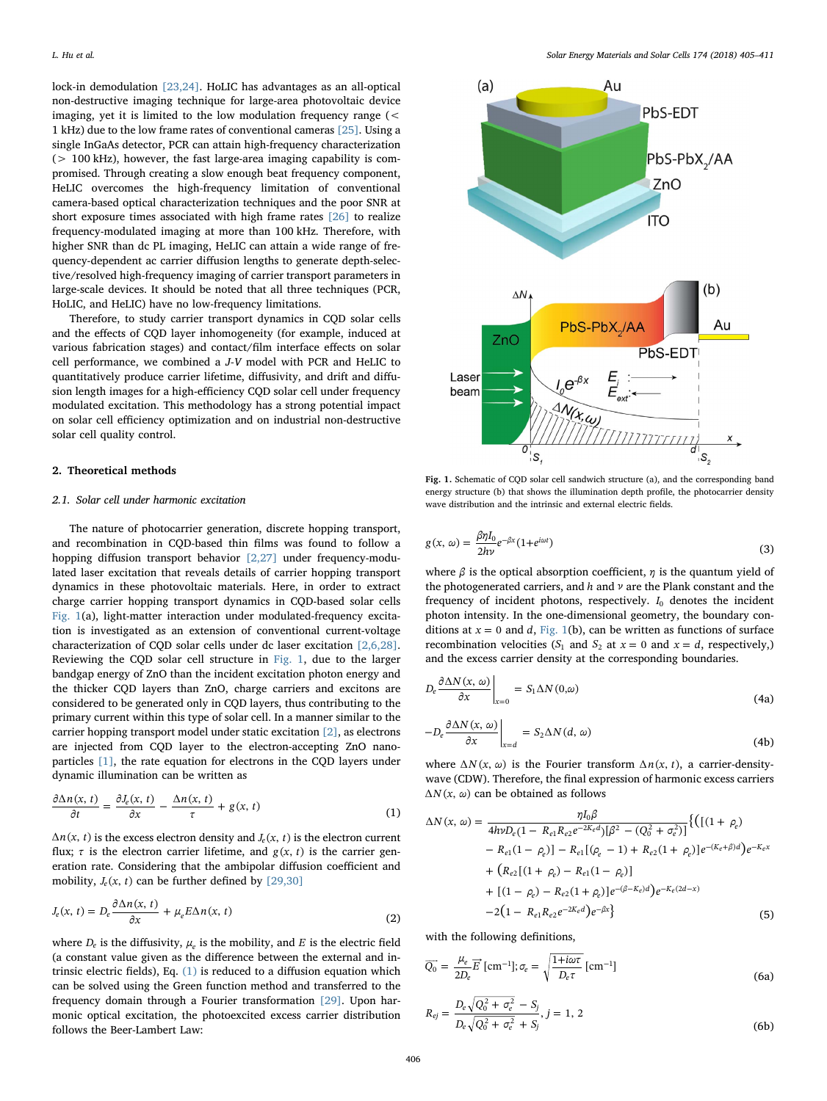lock-in demodulation [\[23,24\].](#page-6-8) HoLIC has advantages as an all-optical non-destructive imaging technique for large-area photovoltaic device imaging, yet it is limited to the low modulation frequency range (< 1 kHz) due to the low frame rates of conventional cameras [\[25\].](#page-6-9) Using a single InGaAs detector, PCR can attain high-frequency characterization (> 100 kHz), however, the fast large-area imaging capability is compromised. Through creating a slow enough beat frequency component, HeLIC overcomes the high-frequency limitation of conventional camera-based optical characterization techniques and the poor SNR at short exposure times associated with high frame rates [\[26\]](#page-6-10) to realize frequency-modulated imaging at more than 100 kHz. Therefore, with higher SNR than dc PL imaging, HeLIC can attain a wide range of frequency-dependent ac carrier diffusion lengths to generate depth-selective/resolved high-frequency imaging of carrier transport parameters in large-scale devices. It should be noted that all three techniques (PCR, HoLIC, and HeLIC) have no low-frequency limitations.

Therefore, to study carrier transport dynamics in CQD solar cells and the effects of CQD layer inhomogeneity (for example, induced at various fabrication stages) and contact/film interface effects on solar cell performance, we combined a J-V model with PCR and HeLIC to quantitatively produce carrier lifetime, diffusivity, and drift and diffusion length images for a high-efficiency CQD solar cell under frequency modulated excitation. This methodology has a strong potential impact on solar cell efficiency optimization and on industrial non-destructive solar cell quality control.

#### 2. Theoretical methods

# 2.1. Solar cell under harmonic excitation

The nature of photocarrier generation, discrete hopping transport, and recombination in CQD-based thin films was found to follow a hopping diffusion transport behavior [\[2,27\]](#page-5-1) under frequency-modulated laser excitation that reveals details of carrier hopping transport dynamics in these photovoltaic materials. Here, in order to extract charge carrier hopping transport dynamics in CQD-based solar cells [Fig. 1\(](#page-1-0)a), light-matter interaction under modulated-frequency excitation is investigated as an extension of conventional current-voltage characterization of CQD solar cells under dc laser excitation [\[2,6,28\]](#page-5-1). Reviewing the CQD solar cell structure in [Fig. 1,](#page-1-0) due to the larger bandgap energy of ZnO than the incident excitation photon energy and the thicker CQD layers than ZnO, charge carriers and excitons are considered to be generated only in CQD layers, thus contributing to the primary current within this type of solar cell. In a manner similar to the carrier hopping transport model under static excitation [\[2\]](#page-5-1), as electrons are injected from CQD layer to the electron-accepting ZnO nanoparticles [\[1\],](#page-5-0) the rate equation for electrons in the CQD layers under dynamic illumination can be written as

<span id="page-1-1"></span>
$$
\frac{\partial \Delta n(x, t)}{\partial t} = \frac{\partial J_e(x, t)}{\partial x} - \frac{\Delta n(x, t)}{\tau} + g(x, t)
$$
(1)

 $\Delta n(x, t)$  is the excess electron density and *J<sub>e</sub>*(*x*, *t*) is the electron current flux;  $\tau$  is the electron carrier lifetime, and  $g(x, t)$  is the carrier generation rate. Considering that the ambipolar diffusion coefficient and mobility,  $J_e(x, t)$  can be further defined by [\[29,30\]](#page-6-11)

$$
J_e(x, t) = D_e \frac{\partial \Delta n(x, t)}{\partial x} + \mu_e E \Delta n(x, t)
$$
\n(2)

where  $D_e$  is the diffusivity,  $\mu_e$  is the mobility, and *E* is the electric field (a constant value given as the difference between the external and intrinsic electric fields), Eq. [\(1\)](#page-1-1) is reduced to a diffusion equation which can be solved using the Green function method and transferred to the frequency domain through a Fourier transformation [\[29\]](#page-6-11). Upon harmonic optical excitation, the photoexcited excess carrier distribution follows the Beer-Lambert Law:

<span id="page-1-0"></span>

Fig. 1. Schematic of CQD solar cell sandwich structure (a), and the corresponding band energy structure (b) that shows the illumination depth profile, the photocarrier density wave distribution and the intrinsic and external electric fields.

$$
g(x, \omega) = \frac{\beta \eta I_0}{2hv} e^{-\beta x} (1 + e^{i\omega t})
$$
\n(3)

where  $\beta$  is the optical absorption coefficient,  $\eta$  is the quantum yield of the photogenerated carriers, and *h* and *ν* are the Plank constant and the frequency of incident photons, respectively.  $I_0$  denotes the incident photon intensity. In the one-dimensional geometry, the boundary conditions at  $x = 0$  and *d*, [Fig. 1](#page-1-0)(b), can be written as functions of surface recombination velocities  $(S_1 \text{ and } S_2 \text{ at } x = 0 \text{ and } x = d, \text{ respectively.})$ and the excess carrier density at the corresponding boundaries.

$$
D_e \frac{\partial \Delta N(x, \omega)}{\partial x}\bigg|_{x=0} = S_1 \Delta N(0, \omega)
$$
\n(4a)

$$
-D_e \frac{\partial \Delta N(x, \omega)}{\partial x}\Big|_{x=d} = S_2 \Delta N(d, \omega)
$$
\n(4b)

<span id="page-1-2"></span>where  $\Delta N(x, \omega)$  is the Fourier transform  $\Delta n(x, t)$ , a carrier-densitywave (CDW). Therefore, the final expression of harmonic excess carriers  $\Delta N(x, \omega)$  can be obtained as follows

$$
\Delta N(x, \omega) = \frac{\eta I_0 \beta}{4h\nu D_e (1 - R_{e1}R_{e2}e^{-2K_e d})[\beta^2 - (Q_0^2 + \sigma_e^2)]} \{ ([(1 + \rho_e) - R_{e1}(1 - \rho_e)] - R_{e1}[(\rho_e - 1) + R_{e2}(1 + \rho_e)]e^{-(K_e + \beta)d})e^{-K_e x} + (R_{e2}[(1 + \rho_e) - R_{e1}(1 - \rho_e)] + [(1 - \rho_e) - R_{e2}(1 + \rho_e)]e^{-(\beta - K_e)d})e^{-K_e(2d - x)} - 2(1 - R_{e1}R_{e2}e^{-2K_e d})e^{-\beta x} \}
$$
(5)

with the following definitions,

$$
\overline{Q_0} = \frac{\mu_e}{2D_e} \overline{E} \left[ \text{cm}^{-1} \right]; \sigma_e = \sqrt{\frac{1 + i\omega\tau}{D_e \tau}} \left[ \text{cm}^{-1} \right]
$$
\n
$$
D = \sqrt{Q^2 + \tau^2} = S.
$$
\n(6a)

$$
R_{ej} = \frac{D_e \sqrt{Q_0^2 + \sigma_e^2} - S_j}{D_e \sqrt{Q_0^2 + \sigma_e^2} + S_j}, j = 1, 2
$$
\n(6b)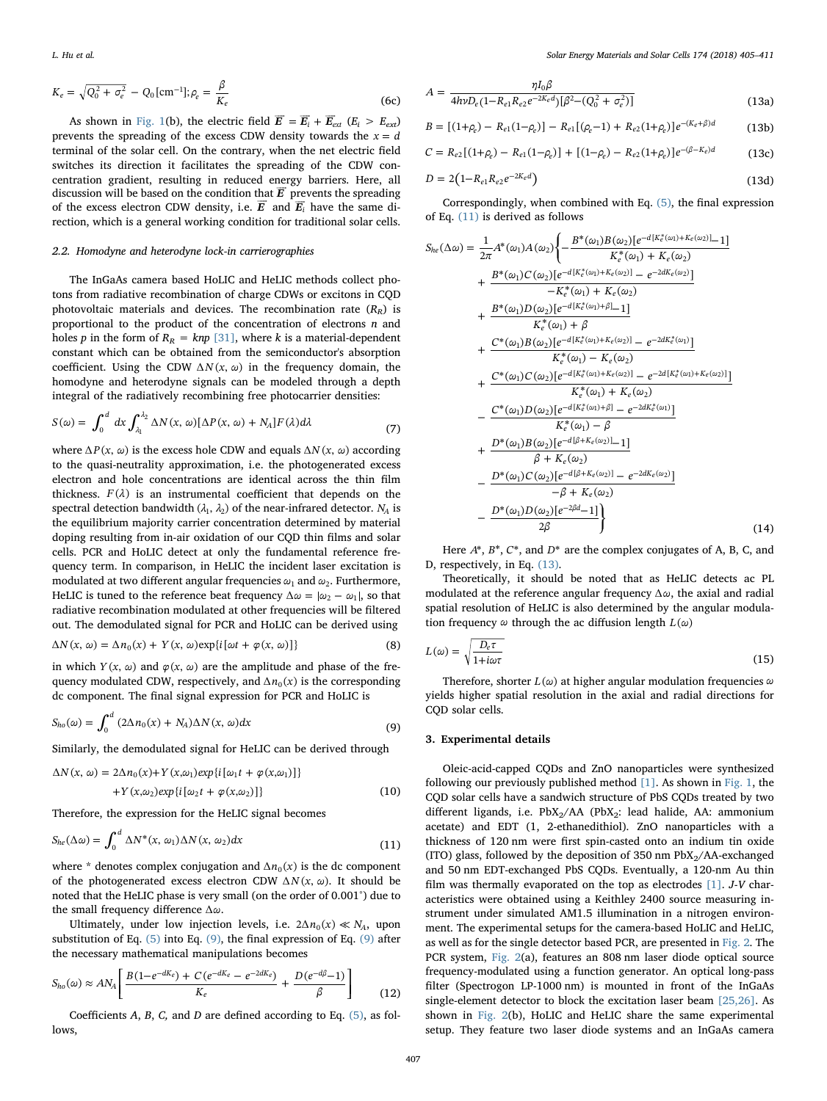$$
K_e = \sqrt{Q_0^2 + \sigma_e^2} - Q_0 \text{[cm}^{-1}\text{]}; \rho_e = \frac{\beta}{K_e} \tag{6c}
$$

As shown in [Fig. 1](#page-1-0)(b), the electric field  $\vec{E} = \vec{E}_i + \vec{E}_{ext}$  ( $E_i > E_{ext}$ ) prevents the spreading of the excess CDW density towards the  $x = d$ terminal of the solar cell. On the contrary, when the net electric field switches its direction it facilitates the spreading of the CDW concentration gradient, resulting in reduced energy barriers. Here, all centration gradient, resulting in reduced energy parriers. Here, all<br>discussion will be based on the condition that  $\vec{E}$  prevents the spreading discussion will be based on the condition that *E* prevents the spreading of the excess electron CDW density, i.e.  $\vec{E}$  and  $\vec{E}_i$  have the same direction, which is a general working condition for traditional solar cells.

#### 2.2. Homodyne and heterodyne lock-in carrierographies

The InGaAs camera based HoLIC and HeLIC methods collect photons from radiative recombination of charge CDWs or excitons in CQD photovoltaic materials and devices. The recombination rate  $(R_R)$  is proportional to the product of the concentration of electrons  $n$  and holes p in the form of  $R_R = knp$  [\[31\]](#page-6-12), where k is a material-dependent constant which can be obtained from the semiconductor's absorption coefficient. Using the CDW  $\Delta N(x, \omega)$  in the frequency domain, the homodyne and heterodyne signals can be modeled through a depth integral of the radiatively recombining free photocarrier densities:

$$
S(\omega) = \int_0^d dx \int_{\lambda_1}^{\lambda_2} \Delta N(x, \omega) [\Delta P(x, \omega) + N_A] F(\lambda) d\lambda \tag{7}
$$

where ∆*P*(*x*, ω) is the excess hole CDW and equals ∆*N*(*x*, ω) according to the quasi-neutrality approximation, i.e. the photogenerated excess electron and hole concentrations are identical across the thin film thickness.  $F(\lambda)$  is an instrumental coefficient that depends on the spectral detection bandwidth  $(\lambda_1, \lambda_2)$  of the near-infrared detector.  $N_A$  is the equilibrium majority carrier concentration determined by material doping resulting from in-air oxidation of our CQD thin films and solar cells. PCR and HoLIC detect at only the fundamental reference frequency term. In comparison, in HeLIC the incident laser excitation is modulated at two different angular frequencies  $\omega_1$  and  $\omega_2$ . Furthermore, HeLIC is tuned to the reference beat frequency  $\Delta \omega = |\omega_2 - \omega_1|$ , so that radiative recombination modulated at other frequencies will be filtered out. The demodulated signal for PCR and HoLIC can be derived using

$$
\Delta N(x, \omega) = \Delta n_0(x) + Y(x, \omega) \exp\{i[\omega t + \varphi(x, \omega)]\}
$$
 (8)

<span id="page-2-0"></span>in which  $Y(x, \omega)$  and  $\varphi(x, \omega)$  are the amplitude and phase of the frequency modulated CDW, respectively, and  $\Delta n_0(x)$  is the corresponding dc component. The final signal expression for PCR and HoLIC is

$$
S_{ho}(\omega) = \int_0^d (2\Delta n_0(x) + N_A) \Delta N(x, \omega) dx
$$
\n(9)

Similarly, the demodulated signal for HeLIC can be derived through

$$
\Delta N(x, \omega) = 2\Delta n_0(x) + Y(x, \omega_1) \exp\{i[\omega_1 t + \varphi(x, \omega_1)]\}
$$
  
+
$$
Y(x, \omega_2) \exp\{i[\omega_2 t + \varphi(x, \omega_2)]\}
$$
 (10)

<span id="page-2-1"></span>Therefore, the expression for the HeLIC signal becomes

$$
S_{he}(\Delta \omega) = \int_0^d \Delta N^*(x, \omega_1) \Delta N(x, \omega_2) dx
$$
\n(11)

where \* denotes complex conjugation and  $\Delta n_0(x)$  is the dc component of the photogenerated excess electron CDW  $\Delta N(x, \omega)$ . It should be noted that the HeLIC phase is very small (on the order of 0.001°) due to the small frequency difference ∆*ω*.

<span id="page-2-4"></span>Ultimately, under low injection levels, i.e.  $2\Delta n_0(x) \ll N_A$ , upon substitution of Eq.  $(5)$  into Eq.  $(9)$ , the final expression of Eq.  $(9)$  after the necessary mathematical manipulations becomes

$$
S_{ho}(\omega) \approx AN_{A} \left[ \frac{B(1 - e^{-dK_{e}}) + C(e^{-dK_{e}} - e^{-2dK_{e}})}{K_{e}} + \frac{D(e^{-d\beta} - 1)}{\beta} \right]
$$
(12)

<span id="page-2-2"></span>Coefficients  $A$ ,  $B$ ,  $C$ , and  $D$  are defined according to Eq. [\(5\),](#page-1-2) as follows,

$$
A = \frac{\eta I_0 \beta}{4h\nu D_e (1 - R_{e1}R_{e2}e^{-2K_e d})[\beta^2 - (Q_0^2 + \sigma_e^2)]}
$$
(13a)

$$
B = [(1+\rho_e) - R_{e1}(1-\rho_e)] - R_{e1}[(\rho_e - 1) + R_{e2}(1+\rho_e)]e^{-(K_e + \beta)d}
$$
(13b)

$$
C = R_{e2}[(1+\rho_e) - R_{e1}(1-\rho_e)] + [(1-\rho_e) - R_{e2}(1+\rho_e)]e^{-(\beta - K_e)d}
$$
(13c)

$$
D = 2(1 - R_{e1}R_{e2}e^{-2K_e d})
$$
\n(13d)

<span id="page-2-3"></span>Correspondingly, when combined with Eq. [\(5\),](#page-1-2) the final expression of Eq. [\(11\)](#page-2-1) is derived as follows

$$
S_{he}(\Delta \omega) = \frac{1}{2\pi} A^*(\omega_1) A(\omega_2) \left\{ -\frac{B^*(\omega_1) B(\omega_2) [e^{-d[K_e^*(\omega_1) + K_e(\omega_2)]} - 1]}{K_e^*(\omega_1) + K_e(\omega_2)} \right\}
$$
  
+ 
$$
\frac{B^*(\omega_1) C(\omega_2) [e^{-d[K_e^*(\omega_1) + K_e(\omega_2)]} - e^{-2dK_e(\omega_2)}]}{-K_e^*(\omega_1) + K_e(\omega_2)}
$$
  
+ 
$$
\frac{B^*(\omega_1) D(\omega_2) [e^{-d[K_e^*(\omega_1) + \beta]} - 1]}{K_e^*(\omega_1) + \beta}
$$
  
+ 
$$
\frac{C^*(\omega_1) B(\omega_2) [e^{-d[K_e^*(\omega_1) + K_e(\omega_2)]} - e^{-2dK_e^*(\omega_1)}]}{K_e^*(\omega_1) - K_e(\omega_2)}
$$
  
+ 
$$
\frac{C^*(\omega_1) C(\omega_2) [e^{-d[K_e^*(\omega_1) + K_e(\omega_2)]} - e^{-2d[K_e^*(\omega_1) + K_e(\omega_2)]}}{K_e^*(\omega_1) + K_e(\omega_2)}
$$
  
- 
$$
\frac{C^*(\omega_1) D(\omega_2) [e^{-d[K_e^*(\omega_1) + \beta]} - e^{-2dK_e^*(\omega_1)}]}{K_e^*(\omega_1) - \beta}
$$
  
+ 
$$
\frac{D^*(\omega_1) B(\omega_2) [e^{-d[\beta + K_e(\omega_2)]} - 1]}{\beta + K_e(\omega_2)}
$$
  
- 
$$
\frac{D^*(\omega_1) C(\omega_2) [e^{-d[\beta + K_e(\omega_2)]} - e^{-2dK_e(\omega_2)}]}{-\beta + K_e(\omega_2)}
$$
  
- 
$$
\frac{D^*(\omega_1) D(\omega_2) [e^{-2\beta d} - 1]}{2\beta}
$$
 (14)

Here *A*\*, *B*\*, *C*\*, and *D*\* are the complex conjugates of A, B, C, and D, respectively, in Eq. [\(13\).](#page-2-2)

Theoretically, it should be noted that as HeLIC detects ac PL modulated at the reference angular frequency ∆*ω*, the axial and radial spatial resolution of HeLIC is also determined by the angular modulation frequency  $\omega$  through the ac diffusion length  $L(\omega)$ 

$$
L(\omega) = \sqrt{\frac{D_e \tau}{1 + i\omega \tau}}
$$
\n(15)

Therefore, shorter *L*( $ω$ ) at higher angular modulation frequencies  $ω$ yields higher spatial resolution in the axial and radial directions for CQD solar cells.

#### 3. Experimental details

*he*

Oleic-acid-capped CQDs and ZnO nanoparticles were synthesized following our previously published method [\[1\]](#page-5-0). As shown in [Fig. 1,](#page-1-0) the CQD solar cells have a sandwich structure of PbS CQDs treated by two different ligands, i.e. PbX<sub>2</sub>/AA (PbX<sub>2</sub>: lead halide, AA: ammonium acetate) and EDT (1, 2-ethanedithiol). ZnO nanoparticles with a thickness of 120 nm were first spin-casted onto an indium tin oxide (ITO) glass, followed by the deposition of 350 nm  $PbX<sub>2</sub>/AA-exchanged$ and 50 nm EDT-exchanged PbS CQDs. Eventually, a 120-nm Au thin film was thermally evaporated on the top as electrodes  $[1]$ . *J-V* characteristics were obtained using a Keithley 2400 source measuring instrument under simulated AM1.5 illumination in a nitrogen environment. The experimental setups for the camera-based HoLIC and HeLIC, as well as for the single detector based PCR, are presented in [Fig. 2](#page-3-0). The PCR system, [Fig. 2](#page-3-0)(a), features an 808 nm laser diode optical source frequency-modulated using a function generator. An optical long-pass filter (Spectrogon LP-1000 nm) is mounted in front of the InGaAs single-element detector to block the excitation laser beam [\[25,26\]](#page-6-9). As shown in [Fig. 2](#page-3-0)(b), HoLIC and HeLIC share the same experimental setup. They feature two laser diode systems and an InGaAs camera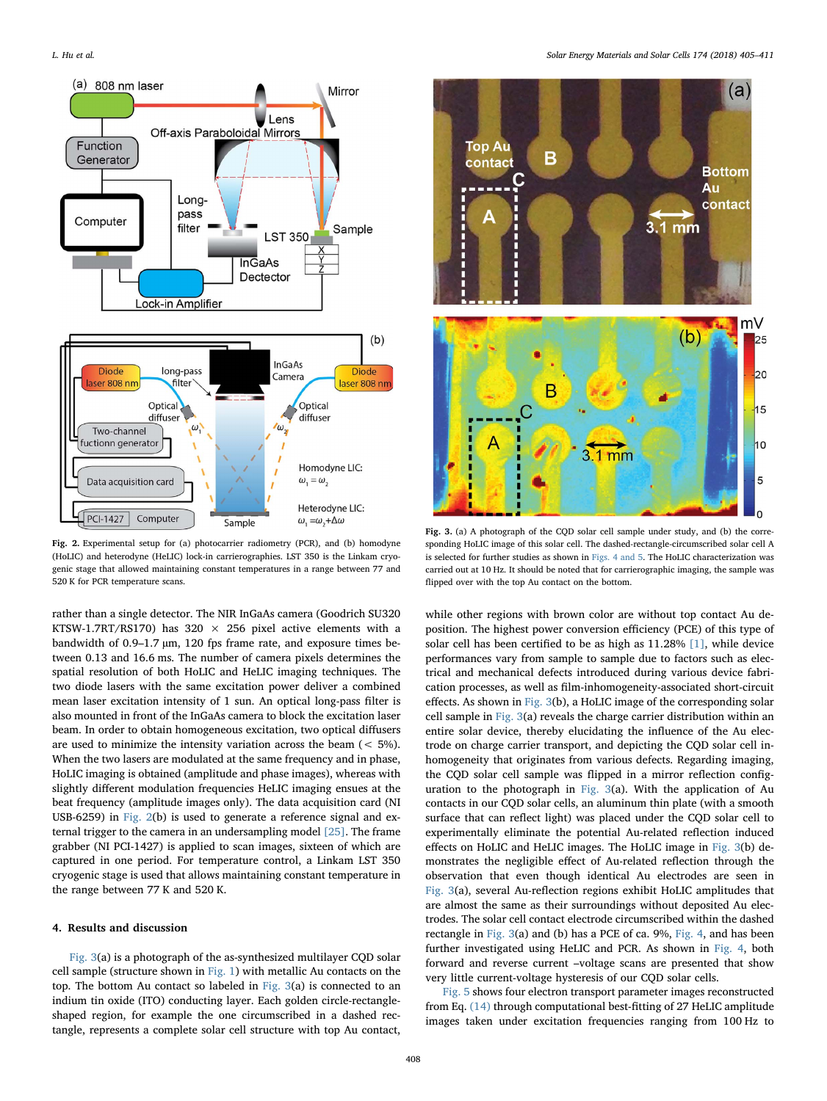<span id="page-3-0"></span>

Fig. 2. Experimental setup for (a) photocarrier radiometry (PCR), and (b) homodyne (HoLIC) and heterodyne (HeLIC) lock-in carrierographies. LST 350 is the Linkam cryogenic stage that allowed maintaining constant temperatures in a range between 77 and 520 K for PCR temperature scans.

rather than a single detector. The NIR InGaAs camera (Goodrich SU320 KTSW-1.7RT/RS170) has 320  $\times$  256 pixel active elements with a bandwidth of 0.9–1.7 µm, 120 fps frame rate, and exposure times between 0.13 and 16.6 ms. The number of camera pixels determines the spatial resolution of both HoLIC and HeLIC imaging techniques. The two diode lasers with the same excitation power deliver a combined mean laser excitation intensity of 1 sun. An optical long-pass filter is also mounted in front of the InGaAs camera to block the excitation laser beam. In order to obtain homogeneous excitation, two optical diffusers are used to minimize the intensity variation across the beam (< 5%). When the two lasers are modulated at the same frequency and in phase, HoLIC imaging is obtained (amplitude and phase images), whereas with slightly different modulation frequencies HeLIC imaging ensues at the beat frequency (amplitude images only). The data acquisition card (NI USB-6259) in [Fig. 2\(](#page-3-0)b) is used to generate a reference signal and external trigger to the camera in an undersampling model [\[25\].](#page-6-9) The frame grabber (NI PCI-1427) is applied to scan images, sixteen of which are captured in one period. For temperature control, a Linkam LST 350 cryogenic stage is used that allows maintaining constant temperature in the range between 77 K and 520 K.

### 4. Results and discussion

[Fig. 3\(](#page-3-1)a) is a photograph of the as-synthesized multilayer CQD solar cell sample (structure shown in [Fig. 1\)](#page-1-0) with metallic Au contacts on the top. The bottom Au contact so labeled in [Fig. 3\(](#page-3-1)a) is connected to an indium tin oxide (ITO) conducting layer. Each golden circle-rectangleshaped region, for example the one circumscribed in a dashed rectangle, represents a complete solar cell structure with top Au contact,

<span id="page-3-1"></span>

Fig. 3. (a) A photograph of the CQD solar cell sample under study, and (b) the corresponding HoLIC image of this solar cell. The dashed-rectangle-circumscribed solar cell A is selected for further studies as shown in [Figs. 4 and 5](#page-4-0). The HoLIC characterization was carried out at 10 Hz. It should be noted that for carrierographic imaging, the sample was flipped over with the top Au contact on the bottom.

while other regions with brown color are without top contact Au deposition. The highest power conversion efficiency (PCE) of this type of solar cell has been certified to be as high as 11.28% [\[1\],](#page-5-0) while device performances vary from sample to sample due to factors such as electrical and mechanical defects introduced during various device fabrication processes, as well as film-inhomogeneity-associated short-circuit effects. As shown in [Fig. 3\(](#page-3-1)b), a HoLIC image of the corresponding solar cell sample in [Fig. 3\(](#page-3-1)a) reveals the charge carrier distribution within an entire solar device, thereby elucidating the influence of the Au electrode on charge carrier transport, and depicting the CQD solar cell inhomogeneity that originates from various defects. Regarding imaging, the CQD solar cell sample was flipped in a mirror reflection configuration to the photograph in [Fig. 3](#page-3-1)(a). With the application of Au contacts in our CQD solar cells, an aluminum thin plate (with a smooth surface that can reflect light) was placed under the CQD solar cell to experimentally eliminate the potential Au-related reflection induced effects on HoLIC and HeLIC images. The HoLIC image in [Fig. 3](#page-3-1)(b) demonstrates the negligible effect of Au-related reflection through the observation that even though identical Au electrodes are seen in [Fig. 3](#page-3-1)(a), several Au-reflection regions exhibit HoLIC amplitudes that are almost the same as their surroundings without deposited Au electrodes. The solar cell contact electrode circumscribed within the dashed rectangle in [Fig. 3\(](#page-3-1)a) and (b) has a PCE of ca. 9%, [Fig. 4,](#page-4-0) and has been further investigated using HeLIC and PCR. As shown in [Fig. 4,](#page-4-0) both forward and reverse current –voltage scans are presented that show very little current-voltage hysteresis of our CQD solar cells.

[Fig. 5](#page-4-1) shows four electron transport parameter images reconstructed from Eq. [\(14\)](#page-2-3) through computational best-fitting of 27 HeLIC amplitude images taken under excitation frequencies ranging from 100 Hz to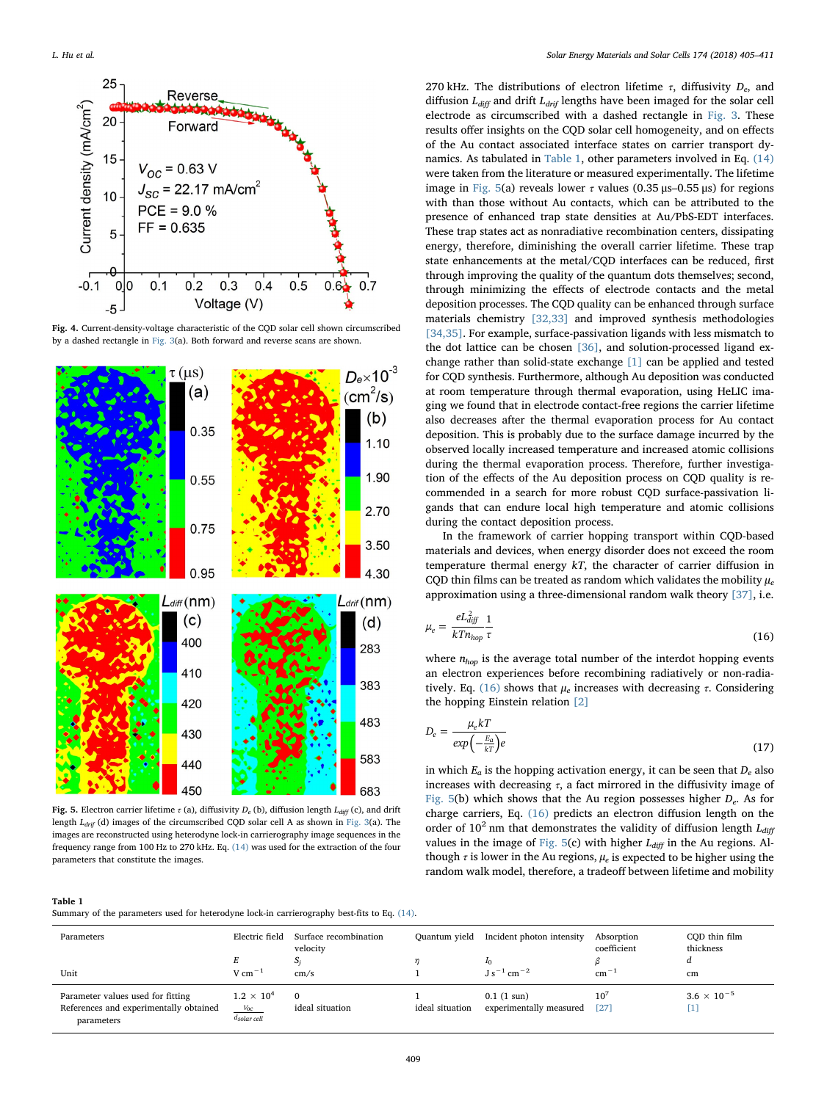<span id="page-4-0"></span>

Fig. 4. Current-density-voltage characteristic of the CQD solar cell shown circumscribed by a dashed rectangle in [Fig. 3\(](#page-3-1)a). Both forward and reverse scans are shown.

<span id="page-4-1"></span>

Fig. 5. Electron carrier lifetime  $\tau$  (a), diffusivity  $D_e$  (b), diffusion length  $L_{diff}$  (c), and drift length  $L_{drif}$  (d) images of the circumscribed CQD solar cell A as shown in [Fig. 3](#page-3-1)(a). The images are reconstructed using heterodyne lock-in carrierography image sequences in the frequency range from 100 Hz to 270 kHz. Eq. [\(14\)](#page-2-3) was used for the extraction of the four parameters that constitute the images.

<span id="page-4-2"></span>Summary of the parameters used for heterodyne lock-in carrierography best-fits to Eq. [\(14\).](#page-2-3)

270 kHz. The distributions of electron lifetime  $\tau$ , diffusivity  $D_e$ , and diffusion  $L_{diff}$  and drift  $L_{drif}$  lengths have been imaged for the solar cell electrode as circumscribed with a dashed rectangle in [Fig. 3](#page-3-1). These results offer insights on the CQD solar cell homogeneity, and on effects of the Au contact associated interface states on carrier transport dynamics. As tabulated in [Table 1,](#page-4-2) other parameters involved in Eq. [\(14\)](#page-2-3) were taken from the literature or measured experimentally. The lifetime image in [Fig. 5](#page-4-1)(a) reveals lower τ values (0.35 μs–0.55 μs) for regions with than those without Au contacts, which can be attributed to the presence of enhanced trap state densities at Au/PbS-EDT interfaces. These trap states act as nonradiative recombination centers, dissipating energy, therefore, diminishing the overall carrier lifetime. These trap state enhancements at the metal/CQD interfaces can be reduced, first through improving the quality of the quantum dots themselves; second, through minimizing the effects of electrode contacts and the metal deposition processes. The CQD quality can be enhanced through surface materials chemistry [\[32,33\]](#page-6-13) and improved synthesis methodologies [\[34,35\].](#page-6-14) For example, surface-passivation ligands with less mismatch to the dot lattice can be chosen [\[36\]](#page-6-15), and solution-processed ligand exchange rather than solid-state exchange [\[1\]](#page-5-0) can be applied and tested for CQD synthesis. Furthermore, although Au deposition was conducted at room temperature through thermal evaporation, using HeLIC imaging we found that in electrode contact-free regions the carrier lifetime also decreases after the thermal evaporation process for Au contact deposition. This is probably due to the surface damage incurred by the observed locally increased temperature and increased atomic collisions during the thermal evaporation process. Therefore, further investigation of the effects of the Au deposition process on CQD quality is recommended in a search for more robust CQD surface-passivation ligands that can endure local high temperature and atomic collisions during the contact deposition process.

In the framework of carrier hopping transport within CQD-based materials and devices, when energy disorder does not exceed the room temperature thermal energy kT, the character of carrier diffusion in CQD thin films can be treated as random which validates the mobility  $\mu_e$ approximation using a three-dimensional random walk theory [\[37\],](#page-6-16) i.e.

<span id="page-4-3"></span>
$$
\mu_e = \frac{eL_{\text{diff}}^2}{kT n_{hop}} \frac{1}{\tau} \tag{16}
$$

where  $n_{hop}$  is the average total number of the interdot hopping events an electron experiences before recombining radiatively or non-radia-tively. Eq. [\(16\)](#page-4-3) shows that  $\mu_e$  increases with decreasing  $\tau$ . Considering the hopping Einstein relation [\[2\]](#page-5-1)

$$
D_e = \frac{\mu_e kT}{\exp\left(-\frac{E_a}{kT}\right)e}
$$
\n(17)

in which  $E_a$  is the hopping activation energy, it can be seen that  $D_e$  also increases with decreasing  $\tau$ , a fact mirrored in the diffusivity image of [Fig. 5](#page-4-1)(b) which shows that the Au region possesses higher  $D_e$ . As for charge carriers, Eq. [\(16\)](#page-4-3) predicts an electron diffusion length on the order of  $10^2$  nm that demonstrates the validity of diffusion length  $L_{diff}$ values in the image of [Fig. 5\(](#page-4-1)c) with higher  $L_{diff}$  in the Au regions. Although  $\tau$  is lower in the Au regions,  $\mu_e$  is expected to be higher using the random walk model, therefore, a tradeoff between lifetime and mobility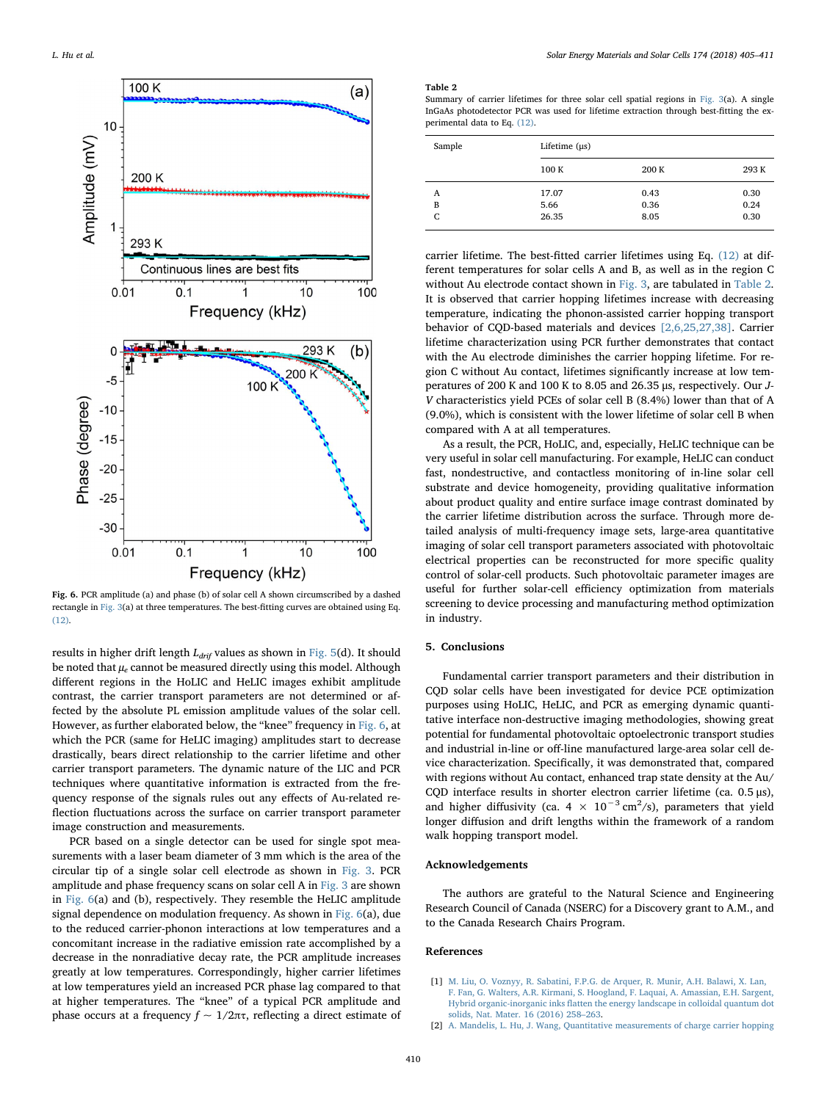<span id="page-5-2"></span>

Fig. 6. PCR amplitude (a) and phase (b) of solar cell A shown circumscribed by a dashed rectangle in [Fig. 3](#page-3-1)(a) at three temperatures. The best-fitting curves are obtained using Eq. [\(12\).](#page-2-4)

results in higher drift length  $L_{drif}$  values as shown in [Fig. 5\(](#page-4-1)d). It should be noted that  $\mu_e$  cannot be measured directly using this model. Although different regions in the HoLIC and HeLIC images exhibit amplitude contrast, the carrier transport parameters are not determined or affected by the absolute PL emission amplitude values of the solar cell. However, as further elaborated below, the "knee" frequency in [Fig. 6,](#page-5-2) at which the PCR (same for HeLIC imaging) amplitudes start to decrease drastically, bears direct relationship to the carrier lifetime and other carrier transport parameters. The dynamic nature of the LIC and PCR techniques where quantitative information is extracted from the frequency response of the signals rules out any effects of Au-related reflection fluctuations across the surface on carrier transport parameter image construction and measurements.

PCR based on a single detector can be used for single spot measurements with a laser beam diameter of 3 mm which is the area of the circular tip of a single solar cell electrode as shown in [Fig. 3.](#page-3-1) PCR amplitude and phase frequency scans on solar cell A in [Fig. 3](#page-3-1) are shown in [Fig. 6\(](#page-5-2)a) and (b), respectively. They resemble the HeLIC amplitude signal dependence on modulation frequency. As shown in [Fig. 6](#page-5-2)(a), due to the reduced carrier-phonon interactions at low temperatures and a concomitant increase in the radiative emission rate accomplished by a decrease in the nonradiative decay rate, the PCR amplitude increases greatly at low temperatures. Correspondingly, higher carrier lifetimes at low temperatures yield an increased PCR phase lag compared to that at higher temperatures. The "knee" of a typical PCR amplitude and phase occurs at a frequency  $f \sim 1/2\pi\tau$ , reflecting a direct estimate of

#### <span id="page-5-3"></span>Table 2

Summary of carrier lifetimes for three solar cell spatial regions in [Fig. 3](#page-3-1)(a). A single InGaAs photodetector PCR was used for lifetime extraction through best-fitting the experimental data to Eq. [\(12\).](#page-2-4)

| Sample | Lifetime $(\mu s)$ |       |       |
|--------|--------------------|-------|-------|
|        | 100 K              | 200 K | 293 K |
| A      | 17.07              | 0.43  | 0.30  |
| B      | 5.66               | 0.36  | 0.24  |
| C      | 26.35              | 8.05  | 0.30  |

carrier lifetime. The best-fitted carrier lifetimes using Eq. [\(12\)](#page-2-4) at different temperatures for solar cells A and B, as well as in the region C without Au electrode contact shown in [Fig. 3](#page-3-1), are tabulated in [Table 2](#page-5-3). It is observed that carrier hopping lifetimes increase with decreasing temperature, indicating the phonon-assisted carrier hopping transport behavior of CQD-based materials and devices [\[2,6,25,27,38\]](#page-5-1). Carrier lifetime characterization using PCR further demonstrates that contact with the Au electrode diminishes the carrier hopping lifetime. For region C without Au contact, lifetimes significantly increase at low temperatures of 200 K and 100 K to 8.05 and 26.35 μs, respectively. Our J-V characteristics yield PCEs of solar cell B (8.4%) lower than that of A (9.0%), which is consistent with the lower lifetime of solar cell B when compared with A at all temperatures.

As a result, the PCR, HoLIC, and, especially, HeLIC technique can be very useful in solar cell manufacturing. For example, HeLIC can conduct fast, nondestructive, and contactless monitoring of in-line solar cell substrate and device homogeneity, providing qualitative information about product quality and entire surface image contrast dominated by the carrier lifetime distribution across the surface. Through more detailed analysis of multi-frequency image sets, large-area quantitative imaging of solar cell transport parameters associated with photovoltaic electrical properties can be reconstructed for more specific quality control of solar-cell products. Such photovoltaic parameter images are useful for further solar-cell efficiency optimization from materials screening to device processing and manufacturing method optimization in industry.

# 5. Conclusions

Fundamental carrier transport parameters and their distribution in CQD solar cells have been investigated for device PCE optimization purposes using HoLIC, HeLIC, and PCR as emerging dynamic quantitative interface non-destructive imaging methodologies, showing great potential for fundamental photovoltaic optoelectronic transport studies and industrial in-line or off-line manufactured large-area solar cell device characterization. Specifically, it was demonstrated that, compared with regions without Au contact, enhanced trap state density at the Au/ CQD interface results in shorter electron carrier lifetime (ca. 0.5 μs), and higher diffusivity (ca.  $4 \times 10^{-3}$  cm<sup>2</sup>/s), parameters that yield longer diffusion and drift lengths within the framework of a random walk hopping transport model.

# Acknowledgements

The authors are grateful to the Natural Science and Engineering Research Council of Canada (NSERC) for a Discovery grant to A.M., and to the Canada Research Chairs Program.

# References

- <span id="page-5-0"></span>[1] [M. Liu, O. Voznyy, R. Sabatini, F.P.G. de Arquer, R. Munir, A.H. Balawi, X. Lan,](http://refhub.elsevier.com/S0927-0248(17)30509-3/sbref1) [F. Fan, G. Walters, A.R. Kirmani, S. Hoogland, F. Laquai, A. Amassian, E.H. Sargent,](http://refhub.elsevier.com/S0927-0248(17)30509-3/sbref1) Hybrid organic-inorganic inks fl[atten the energy landscape in colloidal quantum dot](http://refhub.elsevier.com/S0927-0248(17)30509-3/sbref1) [solids, Nat. Mater. 16 \(2016\) 258](http://refhub.elsevier.com/S0927-0248(17)30509-3/sbref1)–263.
- <span id="page-5-1"></span>[2] [A. Mandelis, L. Hu, J. Wang, Quantitative measurements of charge carrier hopping](http://refhub.elsevier.com/S0927-0248(17)30509-3/sbref2)